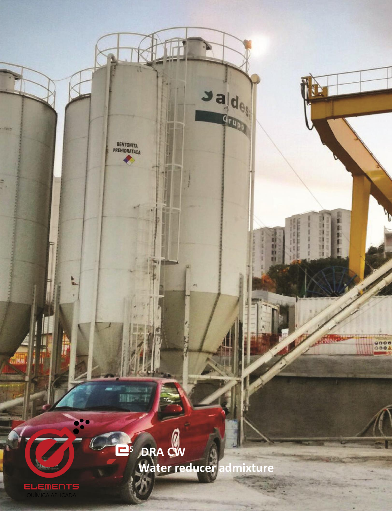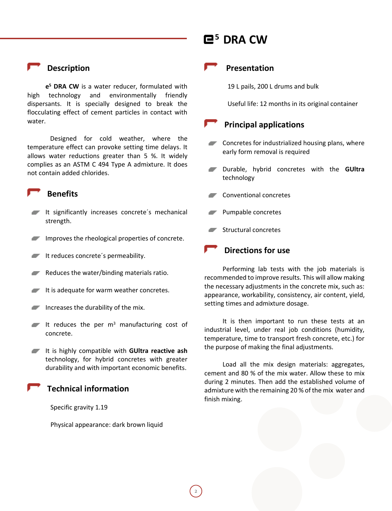## **Description**

**e <sup>5</sup> DRA CW** is a water reducer, formulated with high technology and environmentally friendly dispersants. It is specially designed to break the flocculating effect of cement particles in contact with water.

Designed for cold weather, where the temperature effect can provoke setting time delays. It allows water reductions greater than 5 %. It widely complies as an ASTM C 494 Type A admixture. It does not contain added chlorides.

# **Benefits**

- It significantly increases concrete´s mechanical strength.
- Improves the rheological properties of concrete.
- $\blacksquare$  It reduces concrete's permeability.
- Reduces the water/binding materials ratio.
- It is adequate for warm weather concretes.
- Increases the durability of the mix.
- It reduces the per  $m<sup>3</sup>$  manufacturing cost of concrete.
- It is highly compatible with **GUItra reactive ash** technology, for hybrid concretes with greater durability and with important economic benefits.

### **Technical information**

Specific gravity 1.19

Physical appearance: dark brown liquid

# **<sup>5</sup> DRA CW**

#### **Presentation**

19 L pails, 200 L drums and bulk

Useful life: 12 months in its original container

### **Principal applications**

- **Concretes for industrialized housing plans, where** early form removal is required
- Durable, hybrid concretes with the **GUltra** technology
- Conventional concretes
- Pumpable concretes
- Structural concretes

# **Directions for use**

Performing lab tests with the job materials is recommended to improve results. This will allow making the necessary adjustments in the concrete mix, such as: appearance, workability, consistency, air content, yield, setting times and admixture dosage.

It is then important to run these tests at an industrial level, under real job conditions (humidity, temperature, time to transport fresh concrete, etc.) for the purpose of making the final adjustments.

Load all the mix design materials: aggregates, cement and 80 % of the mix water. Allow these to mix during 2 minutes. Then add the established volume of admixture with the remaining 20 % of the mix water and finish mixing.

2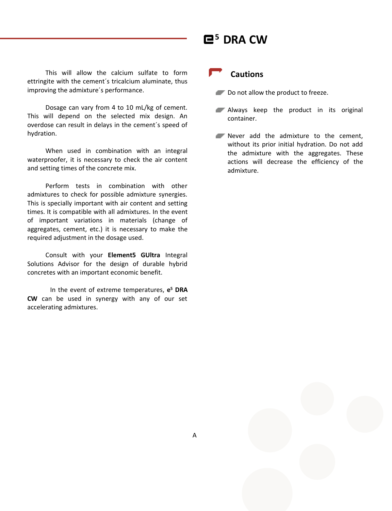# **<sup>5</sup> DRA CW**

This will allow the calcium sulfate to form ettringite with the cement´s tricalcium aluminate, thus improving the admixture´s performance.

Dosage can vary from 4 to 10 mL/kg of cement. This will depend on the selected mix design. An overdose can result in delays in the cement´s speed of hydration.

When used in combination with an integral waterproofer, it is necessary to check the air content and setting times of the concrete mix.

Perform tests in combination with other admixtures to check for possible admixture synergies. This is specially important with air content and setting times. It is compatible with all admixtures. In the event of important variations in materials (change of aggregates, cement, etc.) it is necessary to make the required adjustment in the dosage used.

Consult with your **Element5 GUltra** Integral Solutions Advisor for the design of durable hybrid concretes with an important economic benefit.

In the event of extreme temperatures, **e <sup>5</sup> DRA CW** can be used in synergy with any of our set accelerating admixtures.

## **Cautions**

- Do not allow the product to freeze.
- Always keep the product in its original container.
- Never add the admixture to the cement, without its prior initial hydration. Do not add the admixture with the aggregates. These actions will decrease the efficiency of the admixture.